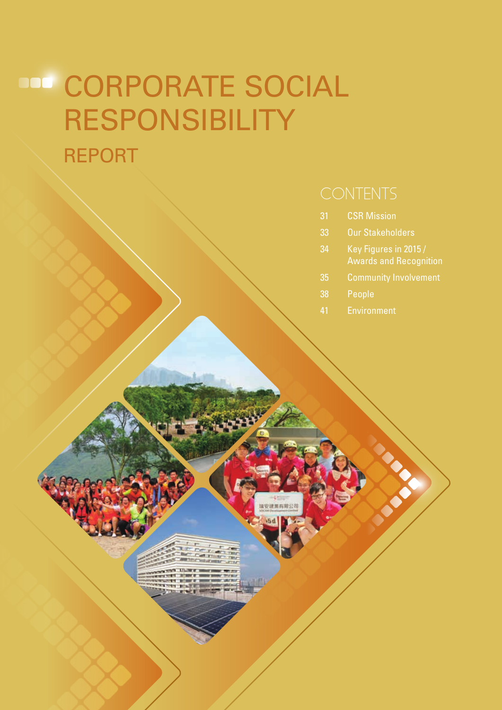- 31 CSR Mission
- 33 Our Stakeholders
- 34 Key Figures in 2015 / Awards and Recognition
- 
- 
- 41 Environment

安建黑有限公社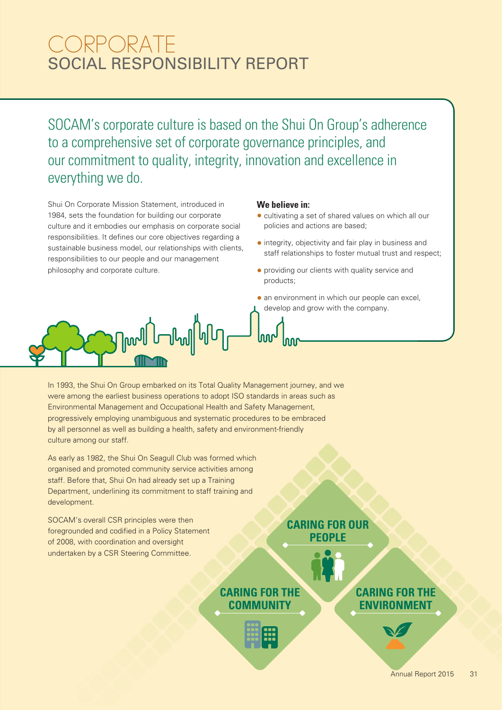# SOCIAL RESPONSIBILITY REPORT CORPORATE

SOCAM's corporate culture is based on the Shui On Group's adherence to a comprehensive set of corporate governance principles, and our commitment to quality, integrity, innovation and excellence in everything we do.

Shui On Corporate Mission Statement, introduced in 1984, sets the foundation for building our corporate culture and it embodies our emphasis on corporate social responsibilities. It defines our core objectives regarding a sustainable business model, our relationships with clients, responsibilities to our people and our management philosophy and corporate culture.

#### **We believe in:**

- cultivating a set of shared values on which all our policies and actions are based;
- integrity, objectivity and fair play in business and staff relationships to foster mutual trust and respect;
- providing our clients with quality service and products;
- an environment in which our people can excel, develop and grow with the company.



In 1993, the Shui On Group embarked on its Total Quality Management journey, and we were among the earliest business operations to adopt ISO standards in areas such as Environmental Management and Occupational Health and Safety Management, progressively employing unambiguous and systematic procedures to be embraced by all personnel as well as building a health, safety and environment-friendly culture among our staff.

As early as 1982, the Shui On Seagull Club was formed which organised and promoted community service activities among staff. Before that, Shui On had already set up a Training Department, underlining its commitment to staff training and development.

SOCAM's overall CSR principles were then foregrounded and codified in a Policy Statement of 2008, with coordination and oversight undertaken by a CSR Steering Committee.

#### **CARING FOR OUR PEOPLE**

**CARING FOR THE COMMUNITY**



**CARING FOR THE ENVIRONMENT**

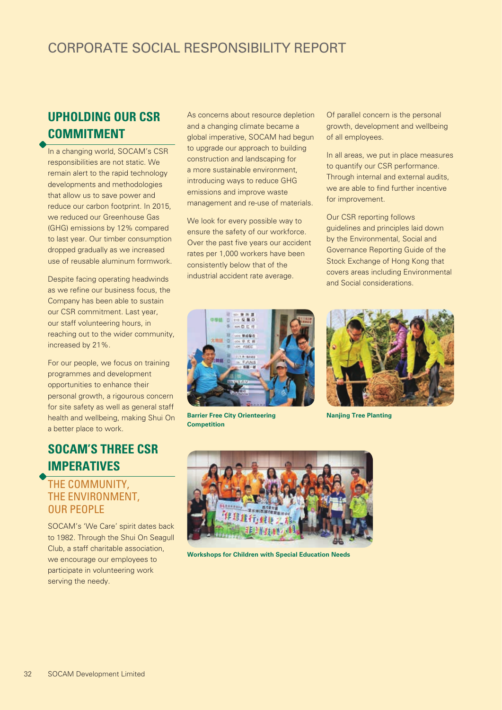### **UPHOLDING OUR CSR COMMITMENT**

In a changing world, SOCAM's CSR responsibilities are not static. We remain alert to the rapid technology developments and methodologies that allow us to save power and reduce our carbon footprint. In 2015, we reduced our Greenhouse Gas (GHG) emissions by 12% compared to last year. Our timber consumption dropped gradually as we increased use of reusable aluminum formwork.

Despite facing operating headwinds as we refine our business focus, the Company has been able to sustain our CSR commitment. Last year, our staff volunteering hours, in reaching out to the wider community, increased by 21%.

For our people, we focus on training programmes and development opportunities to enhance their personal growth, a rigourous concern for site safety as well as general staff health and wellbeing, making Shui On a better place to work.

### **SOCAM'S THREE CSR IMPERATIVES**

#### THE COMMUNITY, THE ENVIRONMENT, OUR PEOPLE

SOCAM's 'We Care' spirit dates back to 1982. Through the Shui On Seagull Club, a staff charitable association, we encourage our employees to participate in volunteering work serving the needy.

As concerns about resource depletion and a changing climate became a global imperative, SOCAM had begun to upgrade our approach to building construction and landscaping for a more sustainable environment, introducing ways to reduce GHG emissions and improve waste management and re-use of materials.

We look for every possible way to ensure the safety of our workforce. Over the past five years our accident rates per 1,000 workers have been consistently below that of the industrial accident rate average.

Of parallel concern is the personal growth, development and wellbeing of all employees.

In all areas, we put in place measures to quantify our CSR performance. Through internal and external audits, we are able to find further incentive for improvement.

Our CSR reporting follows guidelines and principles laid down by the Environmental, Social and Governance Reporting Guide of the Stock Exchange of Hong Kong that covers areas including Environmental and Social considerations.



**Barrier Free City Orienteering Competition**



**Nanjing Tree Planting**



**Workshops for Children with Special Education Needs**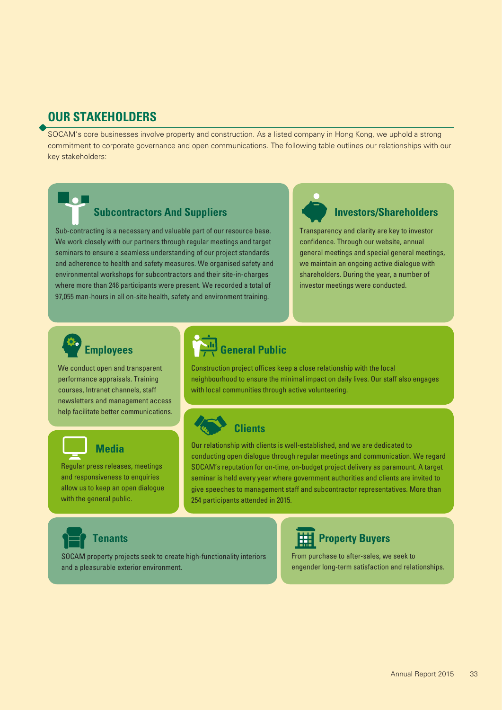#### **OUR STAKEHOLDERS**

SOCAM's core businesses involve property and construction. As a listed company in Hong Kong, we uphold a strong commitment to corporate governance and open communications. The following table outlines our relationships with our key stakeholders:

#### **Subcontractors And Suppliers**

Sub-contracting is a necessary and valuable part of our resource base. We work closely with our partners through regular meetings and target seminars to ensure a seamless understanding of our project standards and adherence to health and safety measures. We organised safety and environmental workshops for subcontractors and their site-in-charges where more than 246 participants were present. We recorded a total of 97,055 man-hours in all on-site health, safety and environment training.

#### **Investors/Shareholders**

Transparency and clarity are key to investor confidence. Through our website, annual general meetings and special general meetings, we maintain an ongoing active dialogue with shareholders. During the year, a number of investor meetings were conducted.

# **Employees**

We conduct open and transparent performance appraisals. Training courses, Intranet channels, staff newsletters and management access help facilitate better communications.

# **Media**

Regular press releases, meetings and responsiveness to enquiries allow us to keep an open dialogue with the general public.

# **General Public**

Construction project offices keep a close relationship with the local neighbourhood to ensure the minimal impact on daily lives. Our staff also engages with local communities through active volunteering.

# **Clients**

Our relationship with clients is well-established, and we are dedicated to conducting open dialogue through regular meetings and communication. We regard SOCAM's reputation for on-time, on-budget project delivery as paramount. A target seminar is held every year where government authorities and clients are invited to give speeches to management staff and subcontractor representatives. More than 254 participants attended in 2015.

**Tenants**

SOCAM property projects seek to create high-functionality interiors and a pleasurable exterior environment.



### **Hill Property Buyers**

From purchase to after-sales, we seek to engender long-term satisfaction and relationships.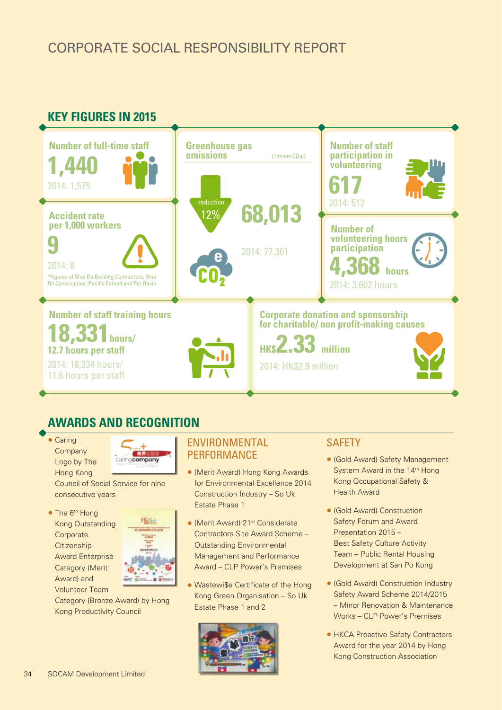

### **AWARDS AND RECOGNITION**





Council of Social Service for nine consecutive years

• The 6<sup>th</sup> Hong Kong Outstanding **Corporate Citizenship** Award Enterprise Category (Merit Award) and Volunteer Team



Category (Bronze Award) by Hong Kong Productivity Council

#### ENVIRONMENTAL **PERFORMANCE**

- (Merit Award) Hong Kong Awards for Environmental Excellence 2014 Construction Industry – So Uk Estate Phase 1
- (Merit Award) 21<sup>st</sup> Considerate Contractors Site Award Scheme – Outstanding Environmental Management and Performance Award – CLP Power's Premises
- Wastewi\$e Certificate of the Hong Kong Green Organisation – So Uk Estate Phase 1 and 2



#### **SAFETY**

- (Gold Award) Safety Management System Award in the 14<sup>th</sup> Hong Kong Occupational Safety & Health Award
- (Gold Award) Construction Safety Forum and Award Presentation 2015 – Best Safety Culture Activity Team – Public Rental Housing Development at San Po Kong
- (Gold Award) Construction Industry Safety Award Scheme 2014/2015 – Minor Renovation & Maintenance Works – CLP Power's Premises
- HKCA Proactive Safety Contractors Award for the year 2014 by Hong Kong Construction Association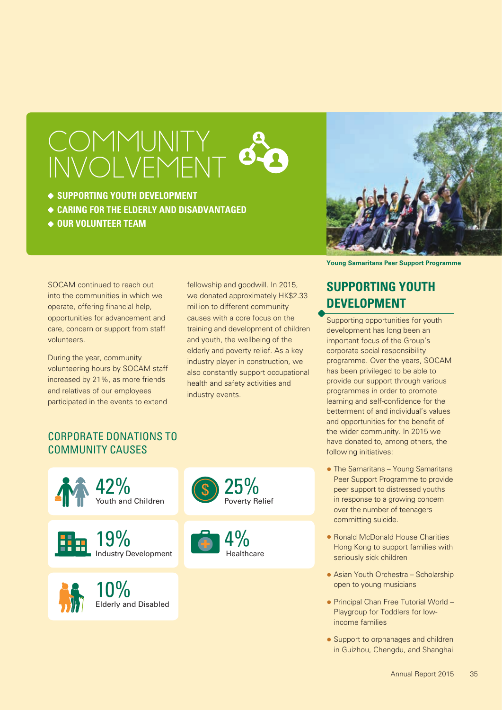# COMMUNITY INVOLVEMENT

- **SUPPORTING YOUTH DEVELOPMENT**
- **CARING FOR THE ELDERLY AND DISADVANTAGED**
- **OUR VOLUNTEER TEAM**



**Young Samaritans Peer Support Programme**

SOCAM continued to reach out into the communities in which we operate, offering financial help, opportunities for advancement and care, concern or support from staff volunteers.

During the year, community volunteering hours by SOCAM staff increased by 21%, as more friends and relatives of our employees participated in the events to extend

fellowship and goodwill. In 2015, we donated approximately HK\$2.33 million to different community causes with a core focus on the training and development of children and youth, the wellbeing of the elderly and poverty relief. As a key industry player in construction, we also constantly support occupational health and safety activities and industry events.

## **SUPPORTING YOUTH DEVELOPMENT**

Supporting opportunities for youth development has long been an important focus of the Group's corporate social responsibility programme. Over the years, SOCAM has been privileged to be able to provide our support through various programmes in order to promote learning and self-confidence for the betterment of and individual's values and opportunities for the benefit of the wider community. In 2015 we have donated to, among others, the following initiatives:

- The Samaritans Young Samaritans Peer Support Programme to provide peer support to distressed youths in response to a growing concern over the number of teenagers committing suicide.
- Ronald McDonald House Charities Hong Kong to support families with seriously sick children
- Asian Youth Orchestra Scholarship open to young musicians
- Principal Chan Free Tutorial World Playgroup for Toddlers for lowincome families
- Support to orphanages and children in Guizhou, Chengdu, and Shanghai

#### CORPORATE DONATIONS TO COMMUNITY CAUSES



Industry Development **H** 19%





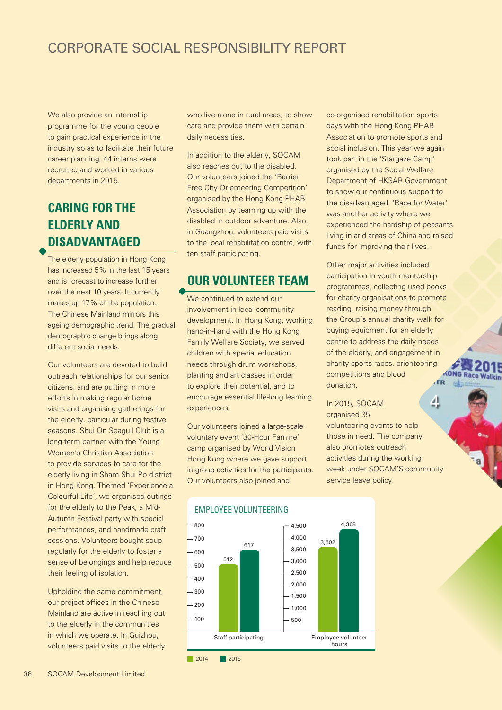We also provide an internship programme for the young people to gain practical experience in the industry so as to facilitate their future career planning. 44 interns were recruited and worked in various departments in 2015.

## **CARING FOR THE ELDERLY AND DISADVANTAGED**

The elderly population in Hong Kong has increased 5% in the last 15 years and is forecast to increase further over the next 10 years. It currently makes up 17% of the population. The Chinese Mainland mirrors this ageing demographic trend. The gradual demographic change brings along different social needs.

Our volunteers are devoted to build outreach relationships for our senior citizens, and are putting in more efforts in making regular home visits and organising gatherings for the elderly, particular during festive seasons. Shui On Seagull Club is a long-term partner with the Young Women's Christian Association to provide services to care for the elderly living in Sham Shui Po district in Hong Kong. Themed 'Experience a Colourful Life', we organised outings for the elderly to the Peak, a Mid-Autumn Festival party with special performances, and handmade craft sessions. Volunteers bought soup regularly for the elderly to foster a sense of belongings and help reduce their feeling of isolation.

Upholding the same commitment, our project offices in the Chinese Mainland are active in reaching out to the elderly in the communities in which we operate. In Guizhou, volunteers paid visits to the elderly

who live alone in rural areas, to show care and provide them with certain daily necessities.

In addition to the elderly, SOCAM also reaches out to the disabled. Our volunteers joined the 'Barrier Free City Orienteering Competition' organised by the Hong Kong PHAB Association by teaming up with the disabled in outdoor adventure. Also, in Guangzhou, volunteers paid visits to the local rehabilitation centre, with ten staff participating.

#### **OUR VOLUNTEER TEAM**

We continued to extend our involvement in local community development. In Hong Kong, working hand-in-hand with the Hong Kong Family Welfare Society, we served children with special education needs through drum workshops, planting and art classes in order to explore their potential, and to encourage essential life-long learning experiences.

Our volunteers joined a large-scale voluntary event '30-Hour Famine' camp organised by World Vision Hong Kong where we gave support in group activities for the participants. Our volunteers also joined and

co-organised rehabilitation sports days with the Hong Kong PHAB Association to promote sports and social inclusion. This year we again took part in the 'Stargaze Camp' organised by the Social Welfare Department of HKSAR Government to show our continuous support to the disadvantaged. 'Race for Water' was another activity where we experienced the hardship of peasants living in arid areas of China and raised funds for improving their lives.

Other major activities included participation in youth mentorship programmes, collecting used books for charity organisations to promote reading, raising money through the Group's annual charity walk for buying equipment for an elderly centre to address the daily needs of the elderly, and engagement in charity sports races, orienteering **KONG Race Walkin** competitions and blood **TR** donation.

4 In 2015, SOCAM organised 35 volunteering events to help those in need. The company also promotes outreach activities during the working week under SOCAM'S community service leave policy.



#### EMPLOYEE VOLUNTEERING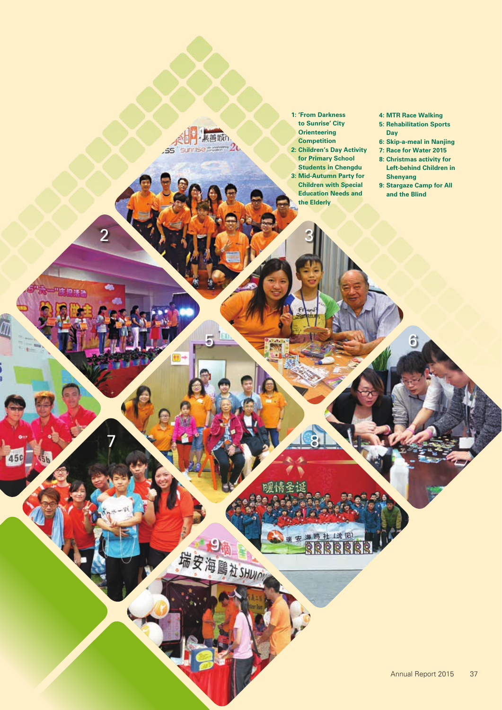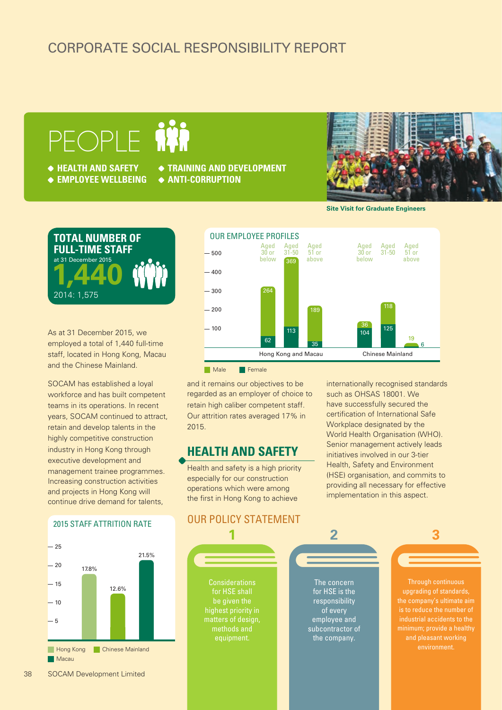# PEOPLE IN

- **HEALTH AND SAFETY**
- **EMPLOYEE WELLBEING ANTI-CORRUPTION**
- **TRAINING AND DEVELOPMENT**
	-



**Site Visit for Graduate Engineers**



As at 31 December 2015, we employed a total of 1,440 full-time staff, located in Hong Kong, Macau and the Chinese Mainland.

SOCAM has established a loyal workforce and has built competent teams in its operations. In recent years, SOCAM continued to attract, retain and develop talents in the highly competitive construction industry in Hong Kong through executive development and management trainee programmes. Increasing construction activities and projects in Hong Kong will continue drive demand for talents,

#### 2015 STAFF ATTRITION RATE





and it remains our objectives to be regarded as an employer of choice to retain high caliber competent staff. Our attrition rates averaged 17% in 2015.

#### **HEALTH AND SAFETY**

Health and safety is a high priority especially for our construction operations which were among the first in Hong Kong to achieve

internationally recognised standards such as OHSAS 18001. We have successfully secured the certification of International Safe Workplace designated by the World Health Organisation (WHO). Senior management actively leads initiatives involved in our 3-tier Health, Safety and Environment (HSE) organisation, and commits to providing all necessary for effective implementation in this aspect.

OUR POLICY STATEMENT

**1**

Considerations for HSE shall highest priority in matters of design, methods and

The concern for HSE is the responsibility of every employee and subcontractor of the company.

**2**

Through continuous upgrading of standards, is to reduce the number of environment.

**3**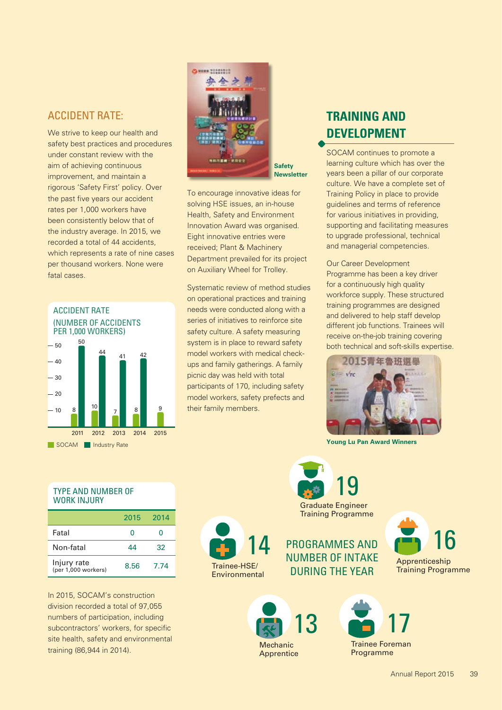#### ACCIDENT RATE:

We strive to keep our health and safety best practices and procedures under constant review with the aim of achieving continuous improvement, and maintain a rigorous 'Safety First' policy. Over the past five years our accident rates per 1,000 workers have been consistently below that of the industry average. In 2015, we recorded a total of 44 accidents, which represents a rate of nine cases per thousand workers. None were fatal cases.





**Safety Newsletter**

To encourage innovative ideas for solving HSE issues, an in-house Health, Safety and Environment Innovation Award was organised. Eight innovative entries were received; Plant & Machinery Department prevailed for its project on Auxiliary Wheel for Trolley.

Systematic review of method studies on operational practices and training needs were conducted along with a series of initiatives to reinforce site safety culture. A safety measuring system is in place to reward safety model workers with medical checkups and family gatherings. A family picnic day was held with total participants of 170, including safety model workers, safety prefects and their family members.

## **TRAINING AND DEVELOPMENT**

SOCAM continues to promote a learning culture which has over the years been a pillar of our corporate culture. We have a complete set of Training Policy in place to provide guidelines and terms of reference for various initiatives in providing, supporting and facilitating measures to upgrade professional, technical and managerial competencies.

Our Career Development Programme has been a key driver for a continuously high quality workforce supply. These structured training programmes are designed and delivered to help staff develop different job functions. Trainees will receive on-the-job training covering both technical and soft-skills expertise.



**Young Lu Pan Award Winners**

#### TYPE AND NUMBER OF WORK INJURY

|                                    | 2015 | 2014 |
|------------------------------------|------|------|
| Fatal                              | Ω    | Ω    |
| Non-fatal                          | 44   | 32   |
| Injury rate<br>(per 1,000 workers) | 8.56 | 7.74 |

In 2015, SOCAM's construction division recorded a total of 97,055 numbers of participation, including subcontractors' workers, for specific site health, safety and environmental training (86,944 in 2014).



Graduate Engineer Training Programme 19

PROGRAMMES AND NUMBER OF INTAKE DURING THE YEAR





Trainee Foreman Programme

17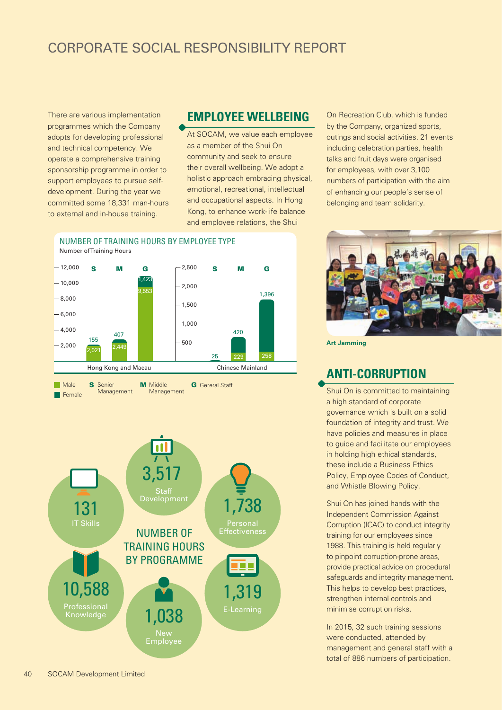There are various implementation programmes which the Company adopts for developing professional and technical competency. We operate a comprehensive training sponsorship programme in order to support employees to pursue selfdevelopment. During the year we committed some 18,331 man-hours to external and in-house training.

 $-2,000$  $-4.000$ 

155

 $2.02$ 

#### **EMPLOYEE WELLBEING**

At SOCAM, we value each employee as a member of the Shui On community and seek to ensure their overall wellbeing. We adopt a holistic approach embracing physical, emotional, recreational, intellectual and occupational aspects. In Hong Kong, to enhance work-life balance and employee relations, the Shui

25 229 258

On Recreation Club, which is funded by the Company, organized sports, outings and social activities. 21 events including celebration parties, health talks and fruit days were organised for employees, with over 3,100 numbers of participation with the aim of enhancing our people's sense of belonging and team solidarity.



**Art Jamming**

#### **ANTI-CORRUPTION**

Shui On is committed to maintaining a high standard of corporate governance which is built on a solid foundation of integrity and trust. We have policies and measures in place to guide and facilitate our employees in holding high ethical standards, these include a Business Ethics Policy, Employee Codes of Conduct, and Whistle Blowing Policy.

Shui On has joined hands with the Independent Commission Against Corruption (ICAC) to conduct integrity training for our employees since 1988. This training is held regularly to pinpoint corruption-prone areas, provide practical advice on procedural safeguards and integrity management. This helps to develop best practices, strengthen internal controls and minimise corruption risks.

In 2015, 32 such training sessions were conducted, attended by management and general staff with a total of 886 numbers of participation.



500

Hong Kong and Macau Chinese Mainland

420

 $-1,000$ 

NUMBER OF TRAINING HOURS BY EMPLOYEE TYPE

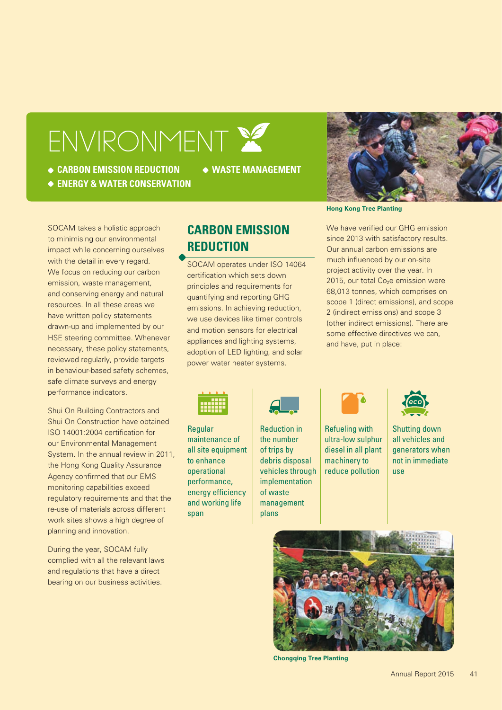# ENVIRONMENT

**CARBON EMISSION REDUCTION**

**WASTE MANAGEMENT**





SOCAM takes a holistic approach to minimising our environmental impact while concerning ourselves with the detail in every regard. We focus on reducing our carbon emission, waste management, and conserving energy and natural resources. In all these areas we have written policy statements drawn-up and implemented by our HSE steering committee. Whenever necessary, these policy statements, reviewed regularly, provide targets in behaviour-based safety schemes, safe climate surveys and energy performance indicators.

Shui On Building Contractors and Shui On Construction have obtained ISO 14001:2004 certification for our Environmental Management System. In the annual review in 2011, the Hong Kong Quality Assurance Agency confirmed that our EMS monitoring capabilities exceed regulatory requirements and that the re-use of materials across different work sites shows a high degree of planning and innovation.

During the year, SOCAM fully complied with all the relevant laws and regulations that have a direct bearing on our business activities.

### **CARBON EMISSION REDUCTION**

SOCAM operates under ISO 14064 certification which sets down principles and requirements for quantifying and reporting GHG emissions. In achieving reduction, we use devices like timer controls and motion sensors for electrical appliances and lighting systems, adoption of LED lighting, and solar power water heater systems.

#### **Hong Kong Tree Planting**

We have verified our GHG emission since 2013 with satisfactory results. Our annual carbon emissions are much influenced by our on-site project activity over the year. In  $2015$ , our total Co<sub>2</sub>e emission were 68,013 tonnes, which comprises on scope 1 (direct emissions), and scope 2 (indirect emissions) and scope 3 (other indirect emissions). There are some effective directives we can, and have, put in place:



Regular maintenance of all site equipment to enhance operational performance, energy efficiency and working life span



Reduction in the number of trips by debris disposal vehicles through implementation of waste management plans



Refueling with ultra-low sulphur diesel in all plant machinery to reduce pollution



Shutting down all vehicles and generators when not in immediate use



**Chongqing Tree Planting**